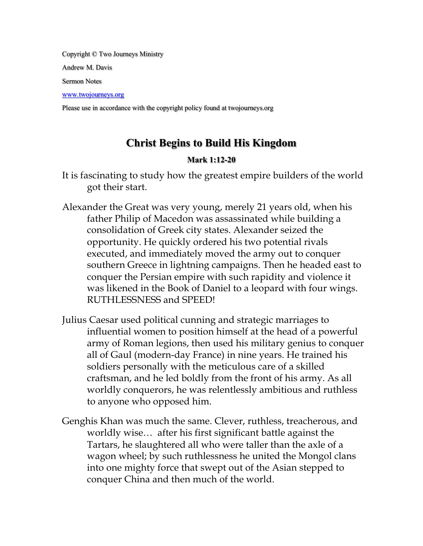Copyright © Two Journeys Ministry

Andrew M. Davis

Sermon Notes

www.twojourneys.org

Please use in accordance with the copyright policy found at twojourneys.org

# **Christ Begins to Build His Kingdom**

#### **Mark 1:12-20**

- It is fascinating to study how the greatest empire builders of the world got their start.
- Alexander the Great was very young, merely 21 years old, when his father Philip of Macedon was assassinated while building a consolidation of Greek city states. Alexander seized the opportunity. He quickly ordered his two potential rivals executed, and immediately moved the army out to conquer southern Greece in lightning campaigns. Then he headed east to conquer the Persian empire with such rapidity and violence it was likened in the Book of Daniel to a leopard with four wings. RUTHLESSNESS and SPEED!
- Julius Caesar used political cunning and strategic marriages to influential women to position himself at the head of a powerful army of Roman legions, then used his military genius to conquer all of Gaul (modern-day France) in nine years. He trained his soldiers personally with the meticulous care of a skilled craftsman, and he led boldly from the front of his army. As all worldly conquerors, he was relentlessly ambitious and ruthless to anyone who opposed him.
- Genghis Khan was much the same. Clever, ruthless, treacherous, and worldly wise… after his first significant battle against the Tartars, he slaughtered all who were taller than the axle of a wagon wheel; by such ruthlessness he united the Mongol clans into one mighty force that swept out of the Asian stepped to conquer China and then much of the world.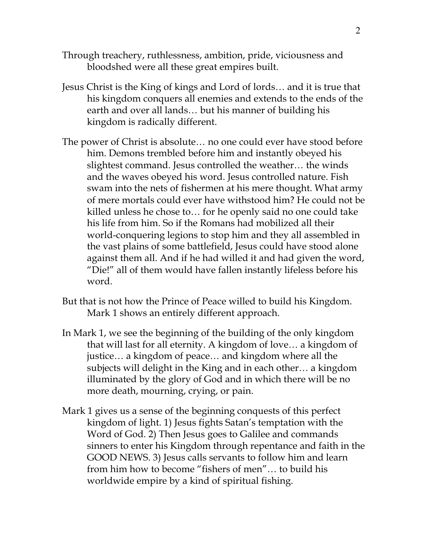- Through treachery, ruthlessness, ambition, pride, viciousness and bloodshed were all these great empires built.
- Jesus Christ is the King of kings and Lord of lords… and it is true that his kingdom conquers all enemies and extends to the ends of the earth and over all lands… but his manner of building his kingdom is radically different.
- The power of Christ is absolute… no one could ever have stood before him. Demons trembled before him and instantly obeyed his slightest command. Jesus controlled the weather… the winds and the waves obeyed his word. Jesus controlled nature. Fish swam into the nets of fishermen at his mere thought. What army of mere mortals could ever have withstood him? He could not be killed unless he chose to… for he openly said no one could take his life from him. So if the Romans had mobilized all their world-conquering legions to stop him and they all assembled in the vast plains of some battlefield, Jesus could have stood alone against them all. And if he had willed it and had given the word, "Die!" all of them would have fallen instantly lifeless before his word.
- But that is not how the Prince of Peace willed to build his Kingdom. Mark 1 shows an entirely different approach.
- In Mark 1, we see the beginning of the building of the only kingdom that will last for all eternity. A kingdom of love… a kingdom of justice… a kingdom of peace… and kingdom where all the subjects will delight in the King and in each other… a kingdom illuminated by the glory of God and in which there will be no more death, mourning, crying, or pain.
- Mark 1 gives us a sense of the beginning conquests of this perfect kingdom of light. 1) Jesus fights Satan's temptation with the Word of God. 2) Then Jesus goes to Galilee and commands sinners to enter his Kingdom through repentance and faith in the GOOD NEWS. 3) Jesus calls servants to follow him and learn from him how to become "fishers of men"… to build his worldwide empire by a kind of spiritual fishing.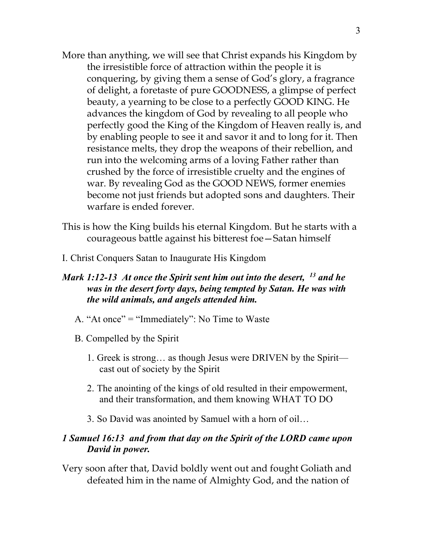- More than anything, we will see that Christ expands his Kingdom by the irresistible force of attraction within the people it is conquering, by giving them a sense of God's glory, a fragrance of delight, a foretaste of pure GOODNESS, a glimpse of perfect beauty, a yearning to be close to a perfectly GOOD KING. He advances the kingdom of God by revealing to all people who perfectly good the King of the Kingdom of Heaven really is, and by enabling people to see it and savor it and to long for it. Then resistance melts, they drop the weapons of their rebellion, and run into the welcoming arms of a loving Father rather than crushed by the force of irresistible cruelty and the engines of war. By revealing God as the GOOD NEWS, former enemies become not just friends but adopted sons and daughters. Their warfare is ended forever.
- This is how the King builds his eternal Kingdom. But he starts with a courageous battle against his bitterest foe—Satan himself
- I. Christ Conquers Satan to Inaugurate His Kingdom

# *Mark 1:12-13 At once the Spirit sent him out into the desert, 13 and he was in the desert forty days, being tempted by Satan. He was with the wild animals, and angels attended him.*

- A. "At once" = "Immediately": No Time to Waste
- B. Compelled by the Spirit
	- 1. Greek is strong… as though Jesus were DRIVEN by the Spirit cast out of society by the Spirit
	- 2. The anointing of the kings of old resulted in their empowerment, and their transformation, and them knowing WHAT TO DO
	- 3. So David was anointed by Samuel with a horn of oil…

## *1 Samuel 16:13 and from that day on the Spirit of the LORD came upon David in power.*

Very soon after that, David boldly went out and fought Goliath and defeated him in the name of Almighty God, and the nation of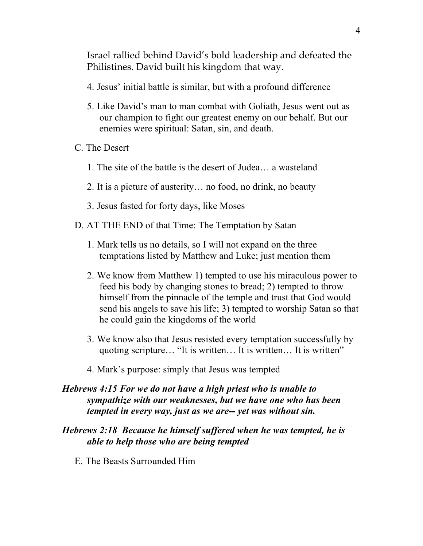Israel rallied behind David's bold leadership and defeated the Philistines. David built his kingdom that way.

- 4. Jesus' initial battle is similar, but with a profound difference
- 5. Like David's man to man combat with Goliath, Jesus went out as our champion to fight our greatest enemy on our behalf. But our enemies were spiritual: Satan, sin, and death.
- C. The Desert
	- 1. The site of the battle is the desert of Judea… a wasteland
	- 2. It is a picture of austerity… no food, no drink, no beauty
	- 3. Jesus fasted for forty days, like Moses
- D. AT THE END of that Time: The Temptation by Satan
	- 1. Mark tells us no details, so I will not expand on the three temptations listed by Matthew and Luke; just mention them
	- 2. We know from Matthew 1) tempted to use his miraculous power to feed his body by changing stones to bread; 2) tempted to throw himself from the pinnacle of the temple and trust that God would send his angels to save his life; 3) tempted to worship Satan so that he could gain the kingdoms of the world
	- 3. We know also that Jesus resisted every temptation successfully by quoting scripture… "It is written… It is written… It is written"
	- 4. Mark's purpose: simply that Jesus was tempted
- *Hebrews 4:15 For we do not have a high priest who is unable to sympathize with our weaknesses, but we have one who has been tempted in every way, just as we are-- yet was without sin.*
- *Hebrews 2:18 Because he himself suffered when he was tempted, he is able to help those who are being tempted*
	- E. The Beasts Surrounded Him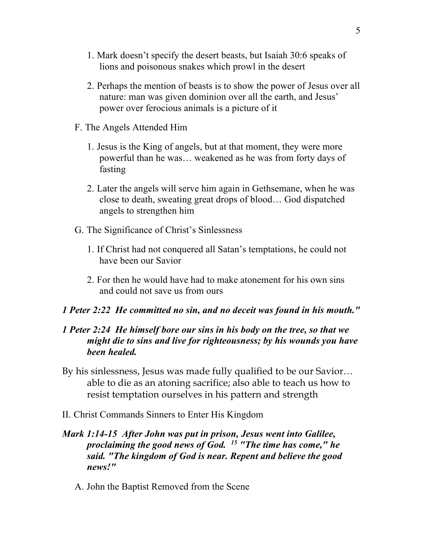- 1. Mark doesn't specify the desert beasts, but Isaiah 30:6 speaks of lions and poisonous snakes which prowl in the desert
- 2. Perhaps the mention of beasts is to show the power of Jesus over all nature: man was given dominion over all the earth, and Jesus' power over ferocious animals is a picture of it
- F. The Angels Attended Him
	- 1. Jesus is the King of angels, but at that moment, they were more powerful than he was… weakened as he was from forty days of fasting
	- 2. Later the angels will serve him again in Gethsemane, when he was close to death, sweating great drops of blood… God dispatched angels to strengthen him
- G. The Significance of Christ's Sinlessness
	- 1. If Christ had not conquered all Satan's temptations, he could not have been our Savior
	- 2. For then he would have had to make atonement for his own sins and could not save us from ours
- *1 Peter 2:22 He committed no sin, and no deceit was found in his mouth."*

# *1 Peter 2:24 He himself bore our sins in his body on the tree, so that we might die to sins and live for righteousness; by his wounds you have been healed.*

- By his sinlessness, Jesus was made fully qualified to be our Savior… able to die as an atoning sacrifice; also able to teach us how to resist temptation ourselves in his pattern and strength
- II. Christ Commands Sinners to Enter His Kingdom

# *Mark 1:14-15 After John was put in prison, Jesus went into Galilee, proclaiming the good news of God. 15 "The time has come," he said. "The kingdom of God is near. Repent and believe the good news!"*

A. John the Baptist Removed from the Scene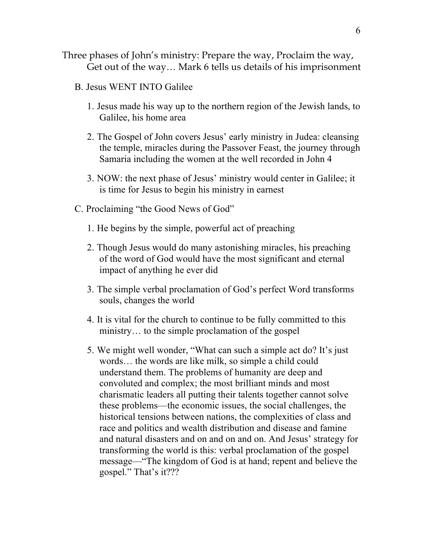- Three phases of John's ministry: Prepare the way, Proclaim the way, Get out of the way… Mark 6 tells us details of his imprisonment
	- B. Jesus WENT INTO Galilee
		- 1. Jesus made his way up to the northern region of the Jewish lands, to Galilee, his home area
		- 2. The Gospel of John covers Jesus' early ministry in Judea: cleansing the temple, miracles during the Passover Feast, the journey through Samaria including the women at the well recorded in John 4
		- 3. NOW: the next phase of Jesus' ministry would center in Galilee; it is time for Jesus to begin his ministry in earnest
	- C. Proclaiming "the Good News of God"
		- 1. He begins by the simple, powerful act of preaching
		- 2. Though Jesus would do many astonishing miracles, his preaching of the word of God would have the most significant and eternal impact of anything he ever did
		- 3. The simple verbal proclamation of God's perfect Word transforms souls, changes the world
		- 4. It is vital for the church to continue to be fully committed to this ministry… to the simple proclamation of the gospel
		- 5. We might well wonder, "What can such a simple act do? It's just words… the words are like milk, so simple a child could understand them. The problems of humanity are deep and convoluted and complex; the most brilliant minds and most charismatic leaders all putting their talents together cannot solve these problems—the economic issues, the social challenges, the historical tensions between nations, the complexities of class and race and politics and wealth distribution and disease and famine and natural disasters and on and on and on. And Jesus' strategy for transforming the world is this: verbal proclamation of the gospel message—"The kingdom of God is at hand; repent and believe the gospel." That's it???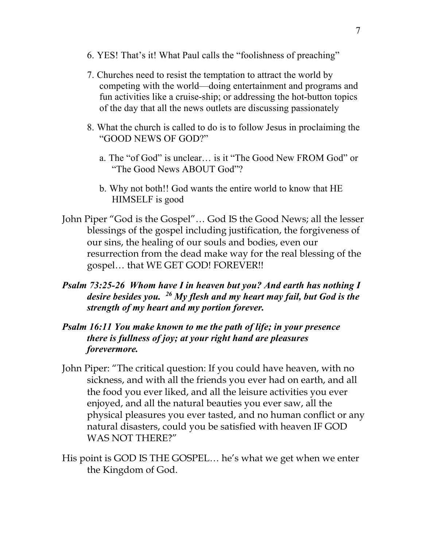- 6. YES! That's it! What Paul calls the "foolishness of preaching"
- 7. Churches need to resist the temptation to attract the world by competing with the world—doing entertainment and programs and fun activities like a cruise-ship; or addressing the hot-button topics of the day that all the news outlets are discussing passionately
- 8. What the church is called to do is to follow Jesus in proclaiming the "GOOD NEWS OF GOD?"
	- a. The "of God" is unclear… is it "The Good New FROM God" or "The Good News ABOUT God"?
	- b. Why not both!! God wants the entire world to know that HE HIMSELF is good
- John Piper "God is the Gospel"… God IS the Good News; all the lesser blessings of the gospel including justification, the forgiveness of our sins, the healing of our souls and bodies, even our resurrection from the dead make way for the real blessing of the gospel… that WE GET GOD! FOREVER!!
- *Psalm 73:25-26 Whom have I in heaven but you? And earth has nothing I desire besides you. 26 My flesh and my heart may fail, but God is the strength of my heart and my portion forever.*
- *Psalm 16:11 You make known to me the path of life; in your presence there is fullness of joy; at your right hand are pleasures forevermore.*
- John Piper: "The critical question: If you could have heaven, with no sickness, and with all the friends you ever had on earth, and all the food you ever liked, and all the leisure activities you ever enjoyed, and all the natural beauties you ever saw, all the physical pleasures you ever tasted, and no human conflict or any natural disasters, could you be satisfied with heaven IF GOD WAS NOT THERE?"
- His point is GOD IS THE GOSPEL… he's what we get when we enter the Kingdom of God.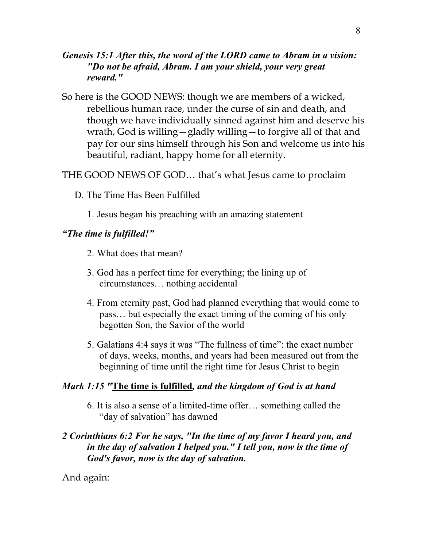# *Genesis 15:1 After this, the word of the LORD came to Abram in a vision: "Do not be afraid, Abram. I am your shield, your very great reward."*

- So here is the GOOD NEWS: though we are members of a wicked, rebellious human race, under the curse of sin and death, and though we have individually sinned against him and deserve his wrath, God is willing—gladly willing—to forgive all of that and pay for our sins himself through his Son and welcome us into his beautiful, radiant, happy home for all eternity.
- THE GOOD NEWS OF GOD… that's what Jesus came to proclaim
	- D. The Time Has Been Fulfilled
		- 1. Jesus began his preaching with an amazing statement

# *"The time is fulfilled!"*

- 2. What does that mean?
- 3. God has a perfect time for everything; the lining up of circumstances… nothing accidental
- 4. From eternity past, God had planned everything that would come to pass… but especially the exact timing of the coming of his only begotten Son, the Savior of the world
- 5. Galatians 4:4 says it was "The fullness of time": the exact number of days, weeks, months, and years had been measured out from the beginning of time until the right time for Jesus Christ to begin

## *Mark 1:15 "***The time is fulfilled***, and the kingdom of God is at hand*

6. It is also a sense of a limited-time offer… something called the "day of salvation" has dawned

# *2 Corinthians 6:2 For he says, "In the time of my favor I heard you, and in the day of salvation I helped you." I tell you, now is the time of God's favor, now is the day of salvation.*

And again: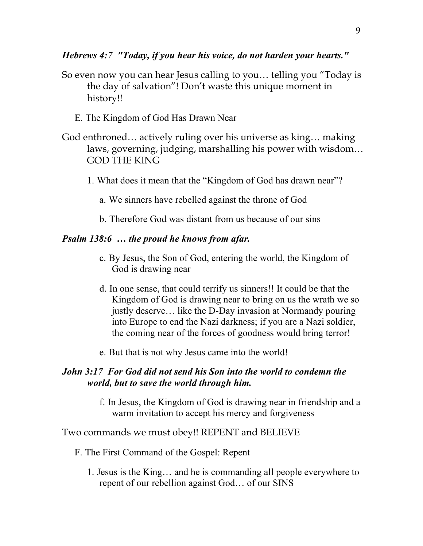#### *Hebrews 4:7 "Today, if you hear his voice, do not harden your hearts."*

- So even now you can hear Jesus calling to you… telling you "Today is the day of salvation"! Don't waste this unique moment in history!!
	- E. The Kingdom of God Has Drawn Near
- God enthroned… actively ruling over his universe as king… making laws, governing, judging, marshalling his power with wisdom… GOD THE KING
	- 1. What does it mean that the "Kingdom of God has drawn near"?
		- a. We sinners have rebelled against the throne of God
		- b. Therefore God was distant from us because of our sins

#### *Psalm 138:6 … the proud he knows from afar.*

- c. By Jesus, the Son of God, entering the world, the Kingdom of God is drawing near
- d. In one sense, that could terrify us sinners!! It could be that the Kingdom of God is drawing near to bring on us the wrath we so justly deserve… like the D-Day invasion at Normandy pouring into Europe to end the Nazi darkness; if you are a Nazi soldier, the coming near of the forces of goodness would bring terror!
- e. But that is not why Jesus came into the world!

# *John 3:17 For God did not send his Son into the world to condemn the world, but to save the world through him.*

f. In Jesus, the Kingdom of God is drawing near in friendship and a warm invitation to accept his mercy and forgiveness

#### Two commands we must obey!! REPENT and BELIEVE

- F. The First Command of the Gospel: Repent
	- 1. Jesus is the King… and he is commanding all people everywhere to repent of our rebellion against God… of our SINS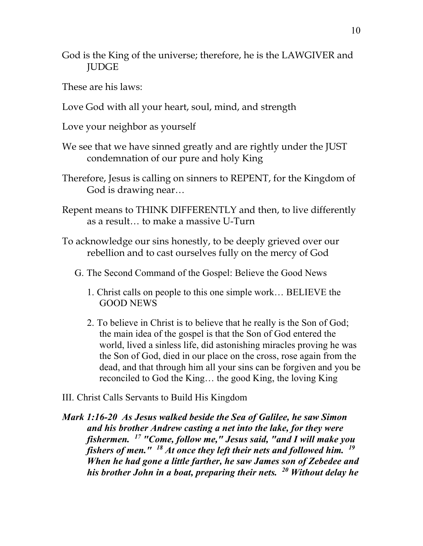- God is the King of the universe; therefore, he is the LAWGIVER and **JUDGE**
- These are his laws:
- Love God with all your heart, soul, mind, and strength
- Love your neighbor as yourself
- We see that we have sinned greatly and are rightly under the JUST condemnation of our pure and holy King
- Therefore, Jesus is calling on sinners to REPENT, for the Kingdom of God is drawing near…
- Repent means to THINK DIFFERENTLY and then, to live differently as a result… to make a massive U-Turn
- To acknowledge our sins honestly, to be deeply grieved over our rebellion and to cast ourselves fully on the mercy of God
	- G. The Second Command of the Gospel: Believe the Good News
		- 1. Christ calls on people to this one simple work… BELIEVE the GOOD NEWS
		- 2. To believe in Christ is to believe that he really is the Son of God; the main idea of the gospel is that the Son of God entered the world, lived a sinless life, did astonishing miracles proving he was the Son of God, died in our place on the cross, rose again from the dead, and that through him all your sins can be forgiven and you be reconciled to God the King… the good King, the loving King
- III. Christ Calls Servants to Build His Kingdom
- *Mark 1:16-20 As Jesus walked beside the Sea of Galilee, he saw Simon and his brother Andrew casting a net into the lake, for they were fishermen. 17 "Come, follow me," Jesus said, "and I will make you fishers of men." 18 At once they left their nets and followed him. 19 When he had gone a little farther, he saw James son of Zebedee and his brother John in a boat, preparing their nets. 20 Without delay he*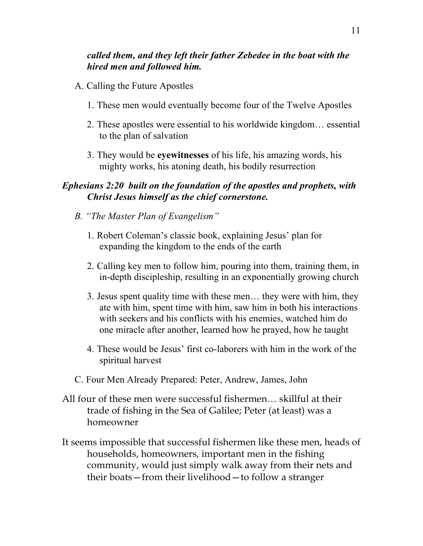# *called them, and they left their father Zebedee in the boat with the hired men and followed him.*

- A. Calling the Future Apostles
	- 1. These men would eventually become four of the Twelve Apostles
	- 2. These apostles were essential to his worldwide kingdom… essential to the plan of salvation
	- 3. They would be **eyewitnesses** of his life, his amazing words, his mighty works, his atoning death, his bodily resurrection

# *Ephesians 2:20 built on the foundation of the apostles and prophets, with Christ Jesus himself as the chief cornerstone.*

- *B. "The Master Plan of Evangelism"*
	- 1. Robert Coleman's classic book, explaining Jesus' plan for expanding the kingdom to the ends of the earth
	- 2. Calling key men to follow him, pouring into them, training them, in in-depth discipleship, resulting in an exponentially growing church
	- 3. Jesus spent quality time with these men… they were with him, they ate with him, spent time with him, saw him in both his interactions with seekers and his conflicts with his enemies, watched him do one miracle after another, learned how he prayed, how he taught
	- 4. These would be Jesus' first co-laborers with him in the work of the spiritual harvest
- C. Four Men Already Prepared: Peter, Andrew, James, John
- All four of these men were successful fishermen… skillful at their trade of fishing in the Sea of Galilee; Peter (at least) was a homeowner
- It seems impossible that successful fishermen like these men, heads of households, homeowners, important men in the fishing community, would just simply walk away from their nets and their boats—from their livelihood—to follow a stranger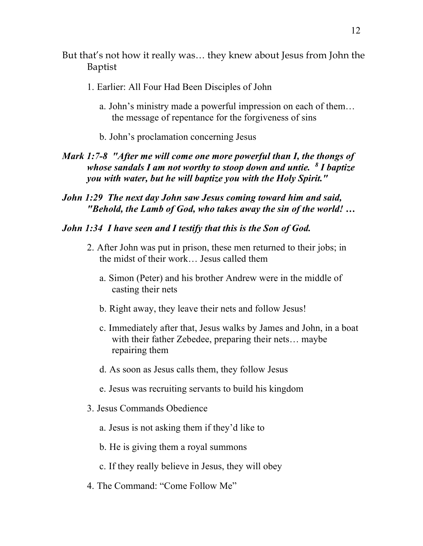- But that's not how it really was… they knew about Jesus from John the Baptist
	- 1. Earlier: All Four Had Been Disciples of John
		- a. John's ministry made a powerful impression on each of them… the message of repentance for the forgiveness of sins
		- b. John's proclamation concerning Jesus
- *Mark 1:7-8 "After me will come one more powerful than I, the thongs of whose sandals I am not worthy to stoop down and untie. 8 I baptize you with water, but he will baptize you with the Holy Spirit."*
- *John 1:29 The next day John saw Jesus coming toward him and said, "Behold, the Lamb of God, who takes away the sin of the world! …*

#### *John 1:34 I have seen and I testify that this is the Son of God.*

- 2. After John was put in prison, these men returned to their jobs; in the midst of their work… Jesus called them
	- a. Simon (Peter) and his brother Andrew were in the middle of casting their nets
	- b. Right away, they leave their nets and follow Jesus!
	- c. Immediately after that, Jesus walks by James and John, in a boat with their father Zebedee, preparing their nets… maybe repairing them
	- d. As soon as Jesus calls them, they follow Jesus
	- e. Jesus was recruiting servants to build his kingdom
- 3. Jesus Commands Obedience
	- a. Jesus is not asking them if they'd like to
	- b. He is giving them a royal summons
	- c. If they really believe in Jesus, they will obey
- 4. The Command: "Come Follow Me"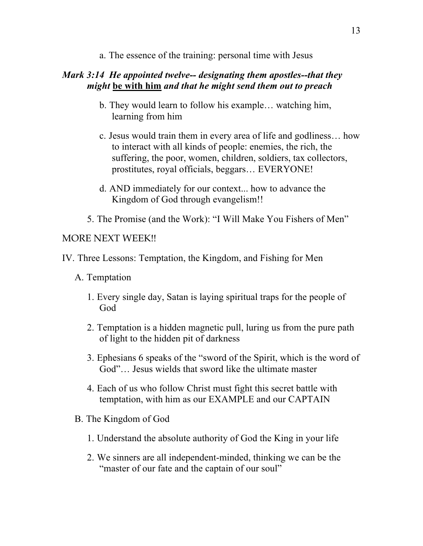a. The essence of the training: personal time with Jesus

## *Mark 3:14 He appointed twelve-- designating them apostles--that they might* **be with him** *and that he might send them out to preach*

- b. They would learn to follow his example… watching him, learning from him
- c. Jesus would train them in every area of life and godliness… how to interact with all kinds of people: enemies, the rich, the suffering, the poor, women, children, soldiers, tax collectors, prostitutes, royal officials, beggars… EVERYONE!
- d. AND immediately for our context... how to advance the Kingdom of God through evangelism!!
- 5. The Promise (and the Work): "I Will Make You Fishers of Men"

#### MORE NEXT WEEK!!

- IV. Three Lessons: Temptation, the Kingdom, and Fishing for Men
	- A. Temptation
		- 1. Every single day, Satan is laying spiritual traps for the people of God
		- 2. Temptation is a hidden magnetic pull, luring us from the pure path of light to the hidden pit of darkness
		- 3. Ephesians 6 speaks of the "sword of the Spirit, which is the word of God"… Jesus wields that sword like the ultimate master
		- 4. Each of us who follow Christ must fight this secret battle with temptation, with him as our EXAMPLE and our CAPTAIN
	- B. The Kingdom of God
		- 1. Understand the absolute authority of God the King in your life
		- 2. We sinners are all independent-minded, thinking we can be the "master of our fate and the captain of our soul"